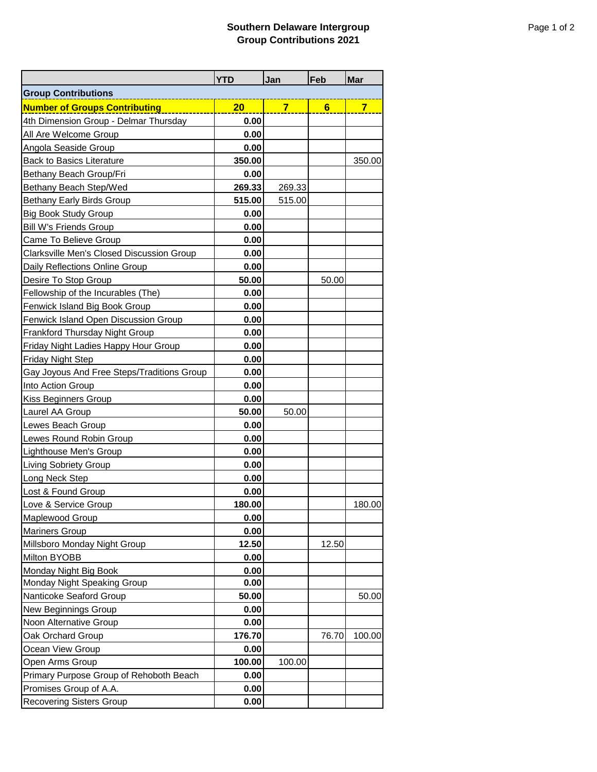## **Southern Delaware Intergroup Group Contributions 2021**

|                                            | <b>YTD</b> | Jan            | Feb            | <b>Mar</b>              |  |
|--------------------------------------------|------------|----------------|----------------|-------------------------|--|
| <b>Group Contributions</b>                 |            |                |                |                         |  |
| <b>Number of Groups Contributing</b>       | 20         | $\overline{7}$ | $6\phantom{1}$ | $\overline{\mathbf{7}}$ |  |
| 4th Dimension Group - Delmar Thursday      | 0.00       |                |                |                         |  |
| All Are Welcome Group                      | 0.00       |                |                |                         |  |
| Angola Seaside Group                       | 0.00       |                |                |                         |  |
| <b>Back to Basics Literature</b>           | 350.00     |                |                | 350.00                  |  |
| <b>Bethany Beach Group/Fri</b>             | 0.00       |                |                |                         |  |
| Bethany Beach Step/Wed                     | 269.33     | 269.33         |                |                         |  |
| <b>Bethany Early Birds Group</b>           | 515.00     | 515.00         |                |                         |  |
| <b>Big Book Study Group</b>                | 0.00       |                |                |                         |  |
| <b>Bill W's Friends Group</b>              | 0.00       |                |                |                         |  |
| Came To Believe Group                      | 0.00       |                |                |                         |  |
| Clarksville Men's Closed Discussion Group  | 0.00       |                |                |                         |  |
| Daily Reflections Online Group             | 0.00       |                |                |                         |  |
| Desire To Stop Group                       | 50.00      |                | 50.00          |                         |  |
| Fellowship of the Incurables (The)         | 0.00       |                |                |                         |  |
| Fenwick Island Big Book Group              | 0.00       |                |                |                         |  |
| Fenwick Island Open Discussion Group       | 0.00       |                |                |                         |  |
| <b>Frankford Thursday Night Group</b>      | 0.00       |                |                |                         |  |
| Friday Night Ladies Happy Hour Group       | 0.00       |                |                |                         |  |
| <b>Friday Night Step</b>                   | 0.00       |                |                |                         |  |
| Gay Joyous And Free Steps/Traditions Group | 0.00       |                |                |                         |  |
| Into Action Group                          | 0.00       |                |                |                         |  |
| Kiss Beginners Group                       | 0.00       |                |                |                         |  |
| Laurel AA Group                            | 50.00      | 50.00          |                |                         |  |
| ewes Beach Group                           | 0.00       |                |                |                         |  |
| Lewes Round Robin Group                    | 0.00       |                |                |                         |  |
| Lighthouse Men's Group                     | 0.00       |                |                |                         |  |
| <b>Living Sobriety Group</b>               | 0.00       |                |                |                         |  |
| <b>Long Neck Step</b>                      | 0.00       |                |                |                         |  |
| Lost & Found Group                         | 0.00       |                |                |                         |  |
| Love & Service Group                       | 180.00     |                |                | 180.00                  |  |
| Maplewood Group                            | 0.00       |                |                |                         |  |
| <b>Mariners Group</b>                      | 0.00       |                |                |                         |  |
| Millsboro Monday Night Group               | 12.50      |                | 12.50          |                         |  |
| Milton BYOBB                               | 0.00       |                |                |                         |  |
| Monday Night Big Book                      | 0.00       |                |                |                         |  |
| Monday Night Speaking Group                | 0.00       |                |                |                         |  |
| Nanticoke Seaford Group                    | 50.00      |                |                | 50.00                   |  |
| New Beginnings Group                       | 0.00       |                |                |                         |  |
| Noon Alternative Group                     | 0.00       |                |                |                         |  |
| Oak Orchard Group                          | 176.70     |                | 76.70          | 100.00                  |  |
| Ocean View Group                           | 0.00       |                |                |                         |  |
| Open Arms Group                            | 100.00     | 100.00         |                |                         |  |
| Primary Purpose Group of Rehoboth Beach    | 0.00       |                |                |                         |  |
| Promises Group of A.A.                     | 0.00       |                |                |                         |  |
| <b>Recovering Sisters Group</b>            | 0.00       |                |                |                         |  |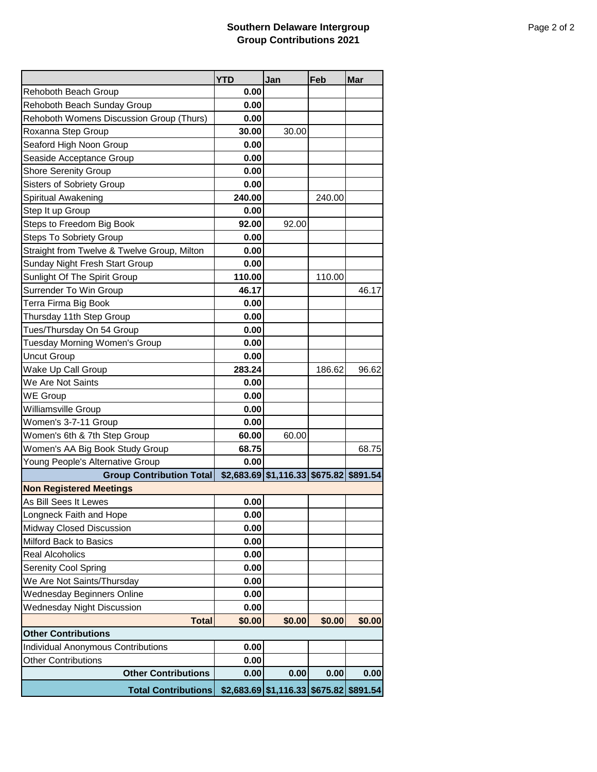## **Southern Delaware Intergroup Group Contributions 2021**

|                                             | <b>YTD</b> | Jan                                     | Feb    | <b>Mar</b>        |
|---------------------------------------------|------------|-----------------------------------------|--------|-------------------|
| Rehoboth Beach Group                        | 0.00       |                                         |        |                   |
| Rehoboth Beach Sunday Group                 | 0.00       |                                         |        |                   |
| Rehoboth Womens Discussion Group (Thurs)    | 0.00       |                                         |        |                   |
| Roxanna Step Group                          | 30.00      | 30.00                                   |        |                   |
| Seaford High Noon Group                     | 0.00       |                                         |        |                   |
| Seaside Acceptance Group                    | 0.00       |                                         |        |                   |
| <b>Shore Serenity Group</b>                 | 0.00       |                                         |        |                   |
| <b>Sisters of Sobriety Group</b>            | 0.00       |                                         |        |                   |
| Spiritual Awakening                         | 240.00     |                                         | 240.00 |                   |
| Step It up Group                            | 0.00       |                                         |        |                   |
| Steps to Freedom Big Book                   | 92.00      | 92.00                                   |        |                   |
| <b>Steps To Sobriety Group</b>              | 0.00       |                                         |        |                   |
| Straight from Twelve & Twelve Group, Milton | 0.00       |                                         |        |                   |
| Sunday Night Fresh Start Group              | 0.00       |                                         |        |                   |
| Sunlight Of The Spirit Group                | 110.00     |                                         | 110.00 |                   |
| Surrender To Win Group                      | 46.17      |                                         |        | 46.17             |
| Terra Firma Big Book                        | 0.00       |                                         |        |                   |
| Thursday 11th Step Group                    | 0.00       |                                         |        |                   |
| Tues/Thursday On 54 Group                   | 0.00       |                                         |        |                   |
| Tuesday Morning Women's Group               | 0.00       |                                         |        |                   |
| <b>Uncut Group</b>                          | 0.00       |                                         |        |                   |
| Wake Up Call Group                          | 283.24     |                                         | 186.62 | 96.62             |
| We Are Not Saints                           | 0.00       |                                         |        |                   |
| WE Group                                    | 0.00       |                                         |        |                   |
| Williamsville Group                         | 0.00       |                                         |        |                   |
| Women's 3-7-11 Group                        | 0.00       |                                         |        |                   |
| Women's 6th & 7th Step Group                | 60.00      | 60.00                                   |        |                   |
| Women's AA Big Book Study Group             | 68.75      |                                         |        | 68.75             |
| Young People's Alternative Group            | 0.00       |                                         |        |                   |
| <b>Group Contribution Total</b>             |            | \$2,683.69 \$1,116.33 \$675.82 \$891.54 |        |                   |
| <b>Non Registered Meetings</b>              |            |                                         |        |                   |
| As Bill Sees It Lewes                       | 0.00       |                                         |        |                   |
| Longneck Faith and Hope                     | 0.00       |                                         |        |                   |
| Midway Closed Discussion                    | 0.00       |                                         |        |                   |
| Milford Back to Basics                      | 0.00       |                                         |        |                   |
| <b>Real Alcoholics</b>                      | 0.00       |                                         |        |                   |
| <b>Serenity Cool Spring</b>                 | 0.00       |                                         |        |                   |
| We Are Not Saints/Thursday                  | 0.00       |                                         |        |                   |
| Wednesday Beginners Online                  | 0.00       |                                         |        |                   |
| <b>Wednesday Night Discussion</b>           | 0.00       |                                         |        |                   |
| <b>Total</b>                                | \$0.00     | \$0.00                                  | \$0.00 | \$0.00            |
| <b>Other Contributions</b>                  |            |                                         |        |                   |
| <b>Individual Anonymous Contributions</b>   | 0.00       |                                         |        |                   |
| <b>Other Contributions</b>                  | 0.00       |                                         |        |                   |
| <b>Other Contributions</b>                  | 0.00       | 0.00                                    | 0.00   | 0.00              |
| <b>Total Contributions</b>                  |            | $$2,683.69$ $$1,116.33$                 |        | \$675.82 \$891.54 |